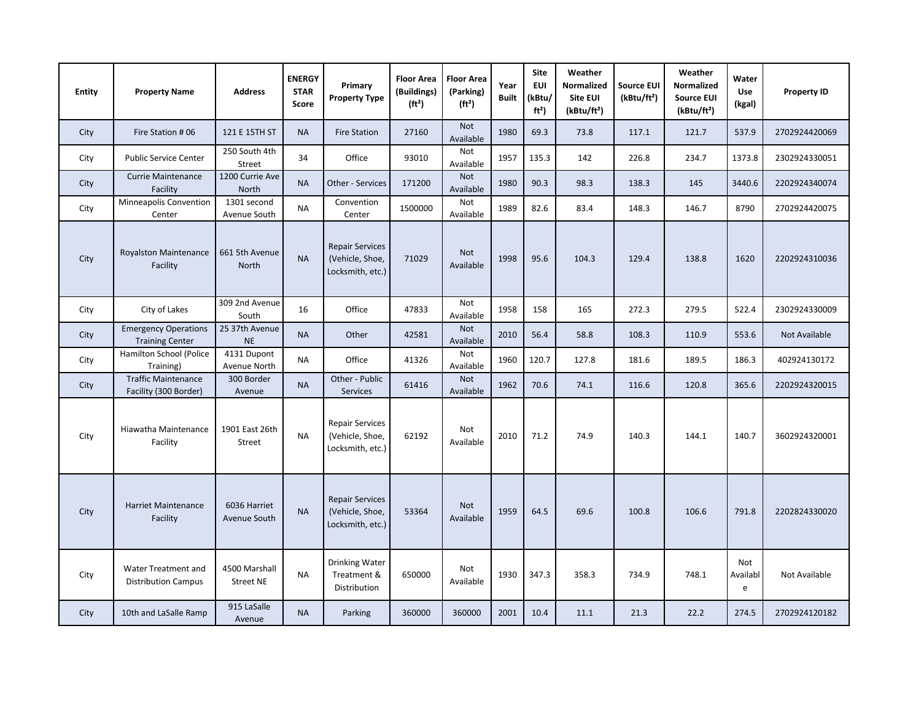| <b>Entity</b> | <b>Property Name</b>                                  | <b>Address</b>                  | <b>ENERGY</b><br><b>STAR</b><br>Score | Primary<br><b>Property Type</b>                               | <b>Floor Area</b><br>(Buildings)<br>(ft <sup>2</sup> ) | <b>Floor Area</b><br>(Parking)<br>(ft <sup>2</sup> ) | Year<br><b>Built</b> | <b>Site</b><br><b>EUI</b><br>(kBtu/<br>ft <sup>2</sup> | Weather<br>Normalized<br>Site EUI<br>(kBtu/ft <sup>2</sup> ) | <b>Source EUI</b><br>(kBtu/ft <sup>2</sup> ) | Weather<br>Normalized<br><b>Source EUI</b><br>(kBtu/ft <sup>2</sup> ) | Water<br>Use<br>(kgal) | <b>Property ID</b> |
|---------------|-------------------------------------------------------|---------------------------------|---------------------------------------|---------------------------------------------------------------|--------------------------------------------------------|------------------------------------------------------|----------------------|--------------------------------------------------------|--------------------------------------------------------------|----------------------------------------------|-----------------------------------------------------------------------|------------------------|--------------------|
| City          | Fire Station #06                                      | 121 E 15TH ST                   | <b>NA</b>                             | <b>Fire Station</b>                                           | 27160                                                  | <b>Not</b><br>Available                              | 1980                 | 69.3                                                   | 73.8                                                         | 117.1                                        | 121.7                                                                 | 537.9                  | 2702924420069      |
| City          | <b>Public Service Center</b>                          | 250 South 4th<br><b>Street</b>  | 34                                    | Office                                                        | 93010                                                  | Not<br>Available                                     | 1957                 | 135.3                                                  | 142                                                          | 226.8                                        | 234.7                                                                 | 1373.8                 | 2302924330051      |
| City          | <b>Currie Maintenance</b><br>Facility                 | 1200 Currie Ave<br>North        | <b>NA</b>                             | Other - Services                                              | 171200                                                 | <b>Not</b><br>Available                              | 1980                 | 90.3                                                   | 98.3                                                         | 138.3                                        | 145                                                                   | 3440.6                 | 2202924340074      |
| City          | Minneapolis Convention<br>Center                      | 1301 second<br>Avenue South     | <b>NA</b>                             | Convention<br>Center                                          | 1500000                                                | Not<br>Available                                     | 1989                 | 82.6                                                   | 83.4                                                         | 148.3                                        | 146.7                                                                 | 8790                   | 2702924420075      |
| City          | <b>Royalston Maintenance</b><br>Facility              | 661 5th Avenue<br>North         | <b>NA</b>                             | <b>Repair Services</b><br>(Vehicle, Shoe,<br>Locksmith, etc.) | 71029                                                  | <b>Not</b><br>Available                              | 1998                 | 95.6                                                   | 104.3                                                        | 129.4                                        | 138.8                                                                 | 1620                   | 2202924310036      |
| City          | City of Lakes                                         | 309 2nd Avenue<br>South         | 16                                    | Office                                                        | 47833                                                  | Not<br>Available                                     | 1958                 | 158                                                    | 165                                                          | 272.3                                        | 279.5                                                                 | 522.4                  | 2302924330009      |
| City          | <b>Emergency Operations</b><br><b>Training Center</b> | 25 37th Avenue<br><b>NE</b>     | <b>NA</b>                             | Other                                                         | 42581                                                  | <b>Not</b><br>Available                              | 2010                 | 56.4                                                   | 58.8                                                         | 108.3                                        | 110.9                                                                 | 553.6                  | Not Available      |
| City          | Hamilton School (Police<br>Training)                  | 4131 Dupont<br>Avenue North     | <b>NA</b>                             | Office                                                        | 41326                                                  | <b>Not</b><br>Available                              | 1960                 | 120.7                                                  | 127.8                                                        | 181.6                                        | 189.5                                                                 | 186.3                  | 402924130172       |
| City          | <b>Traffic Maintenance</b><br>Facility (300 Border)   | 300 Border<br>Avenue            | <b>NA</b>                             | Other - Public<br><b>Services</b>                             | 61416                                                  | Not<br>Available                                     | 1962                 | 70.6                                                   | 74.1                                                         | 116.6                                        | 120.8                                                                 | 365.6                  | 2202924320015      |
| City          | Hiawatha Maintenance<br>Facility                      | 1901 East 26th<br><b>Street</b> | <b>NA</b>                             | <b>Repair Services</b><br>(Vehicle, Shoe,<br>Locksmith, etc.) | 62192                                                  | Not<br>Available                                     | 2010                 | 71.2                                                   | 74.9                                                         | 140.3                                        | 144.1                                                                 | 140.7                  | 3602924320001      |
| City          | <b>Harriet Maintenance</b><br>Facility                | 6036 Harriet<br>Avenue South    | <b>NA</b>                             | <b>Repair Services</b><br>(Vehicle, Shoe,<br>Locksmith, etc.) | 53364                                                  | <b>Not</b><br>Available                              | 1959                 | 64.5                                                   | 69.6                                                         | 100.8                                        | 106.6                                                                 | 791.8                  | 2202824330020      |
| City          | Water Treatment and<br><b>Distribution Campus</b>     | 4500 Marshall<br>Street NE      | ΝA                                    | Drinking Water<br>Treatment &<br>Distribution                 | 650000                                                 | Not<br>Available                                     | 1930                 | 347.3                                                  | 358.3                                                        | 734.9                                        | 748.1                                                                 | Not<br>Availabl<br>e   | Not Available      |
| City          | 10th and LaSalle Ramp                                 | 915 LaSalle<br>Avenue           | <b>NA</b>                             | Parking                                                       | 360000                                                 | 360000                                               | 2001                 | 10.4                                                   | 11.1                                                         | 21.3                                         | 22.2                                                                  | 274.5                  | 2702924120182      |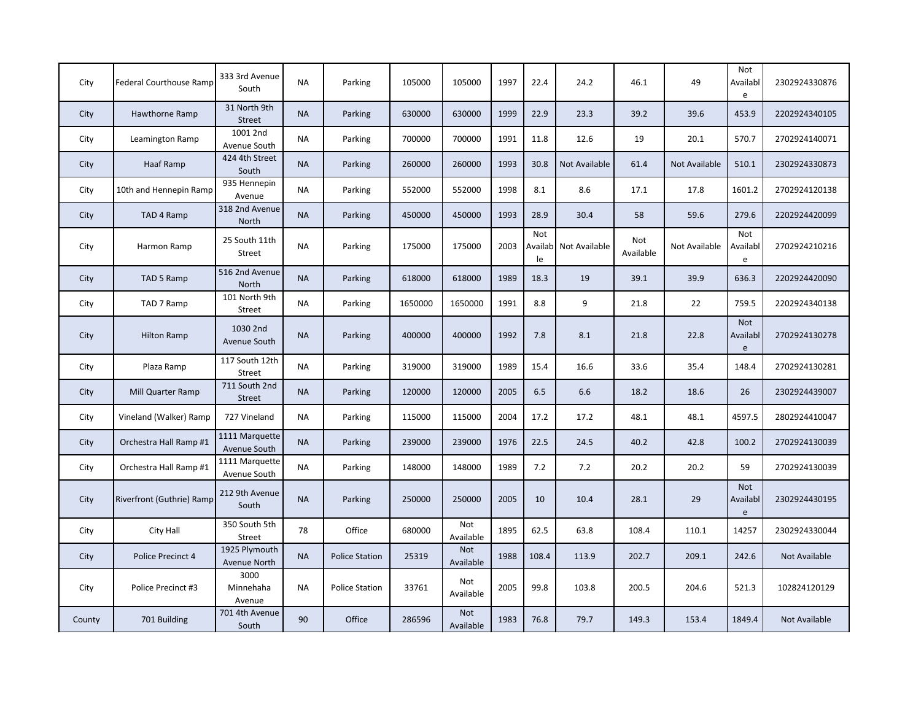| City   | <b>Federal Courthouse Ramp</b> | 333 3rd Avenue<br>South         | <b>NA</b> | Parking               | 105000  | 105000                  | 1997 | 22.4                  | 24.2          | 46.1             | 49            | Not<br>Availabl<br>e        | 2302924330876 |
|--------|--------------------------------|---------------------------------|-----------|-----------------------|---------|-------------------------|------|-----------------------|---------------|------------------|---------------|-----------------------------|---------------|
| City   | Hawthorne Ramp                 | 31 North 9th<br>Street          | <b>NA</b> | Parking               | 630000  | 630000                  | 1999 | 22.9                  | 23.3          | 39.2             | 39.6          | 453.9                       | 2202924340105 |
| City   | Leamington Ramp                | 1001 2nd<br>Avenue South        | <b>NA</b> | Parking               | 700000  | 700000                  | 1991 | 11.8                  | 12.6          | 19               | 20.1          | 570.7                       | 2702924140071 |
| City   | Haaf Ramp                      | 424 4th Street<br>South         | <b>NA</b> | Parking               | 260000  | 260000                  | 1993 | 30.8                  | Not Available | 61.4             | Not Available | 510.1                       | 2302924330873 |
| City   | 10th and Hennepin Ramp         | 935 Hennepin<br>Avenue          | <b>NA</b> | Parking               | 552000  | 552000                  | 1998 | 8.1                   | 8.6           | 17.1             | 17.8          | 1601.2                      | 2702924120138 |
| City   | TAD 4 Ramp                     | 318 2nd Avenue<br><b>North</b>  | <b>NA</b> | Parking               | 450000  | 450000                  | 1993 | 28.9                  | 30.4          | 58               | 59.6          | 279.6                       | 2202924420099 |
| City   | Harmon Ramp                    | 25 South 11th<br>Street         | <b>NA</b> | Parking               | 175000  | 175000                  | 2003 | Not<br>Availabl<br>le | Not Available | Not<br>Available | Not Available | Not<br>Availabl<br>e        | 2702924210216 |
| City   | TAD 5 Ramp                     | 516 2nd Avenue<br>North         | <b>NA</b> | Parking               | 618000  | 618000                  | 1989 | 18.3                  | 19            | 39.1             | 39.9          | 636.3                       | 2202924420090 |
| City   | TAD 7 Ramp                     | 101 North 9th<br>Street         | <b>NA</b> | Parking               | 1650000 | 1650000                 | 1991 | 8.8                   | 9             | 21.8             | 22            | 759.5                       | 2202924340138 |
| City   | <b>Hilton Ramp</b>             | 1030 2nd<br>Avenue South        | <b>NA</b> | Parking               | 400000  | 400000                  | 1992 | 7.8                   | 8.1           | 21.8             | 22.8          | <b>Not</b><br>Availabl<br>e | 2702924130278 |
| City   | Plaza Ramp                     | 117 South 12th<br><b>Street</b> | <b>NA</b> | Parking               | 319000  | 319000                  | 1989 | 15.4                  | 16.6          | 33.6             | 35.4          | 148.4                       | 2702924130281 |
| City   | Mill Quarter Ramp              | 711 South 2nd<br>Street         | <b>NA</b> | Parking               | 120000  | 120000                  | 2005 | 6.5                   | 6.6           | 18.2             | 18.6          | 26                          | 2302924439007 |
| City   | Vineland (Walker) Ramp         | 727 Vineland                    | <b>NA</b> | Parking               | 115000  | 115000                  | 2004 | 17.2                  | 17.2          | 48.1             | 48.1          | 4597.5                      | 2802924410047 |
| City   | Orchestra Hall Ramp #1         | 1111 Marquette<br>Avenue South  | <b>NA</b> | Parking               | 239000  | 239000                  | 1976 | 22.5                  | 24.5          | 40.2             | 42.8          | 100.2                       | 2702924130039 |
| City   | Orchestra Hall Ramp #1         | 1111 Marquette<br>Avenue South  | <b>NA</b> | Parking               | 148000  | 148000                  | 1989 | 7.2                   | 7.2           | 20.2             | 20.2          | 59                          | 2702924130039 |
| City   | Riverfront (Guthrie) Ramp      | 212 9th Avenue<br>South         | <b>NA</b> | Parking               | 250000  | 250000                  | 2005 | 10                    | 10.4          | 28.1             | 29            | <b>Not</b><br>Availabl<br>e | 2302924430195 |
| City   | City Hall                      | 350 South 5th<br>Street         | 78        | Office                | 680000  | Not<br>Available        | 1895 | 62.5                  | 63.8          | 108.4            | 110.1         | 14257                       | 2302924330044 |
| City   | Police Precinct 4              | 1925 Plymouth<br>Avenue North   | <b>NA</b> | <b>Police Station</b> | 25319   | <b>Not</b><br>Available | 1988 | 108.4                 | 113.9         | 202.7            | 209.1         | 242.6                       | Not Available |
| City   | Police Precinct #3             | 3000<br>Minnehaha<br>Avenue     | <b>NA</b> | <b>Police Station</b> | 33761   | Not<br>Available        | 2005 | 99.8                  | 103.8         | 200.5            | 204.6         | 521.3                       | 102824120129  |
| County | 701 Building                   | 701 4th Avenue<br>South         | 90        | Office                | 286596  | Not<br>Available        | 1983 | 76.8                  | 79.7          | 149.3            | 153.4         | 1849.4                      | Not Available |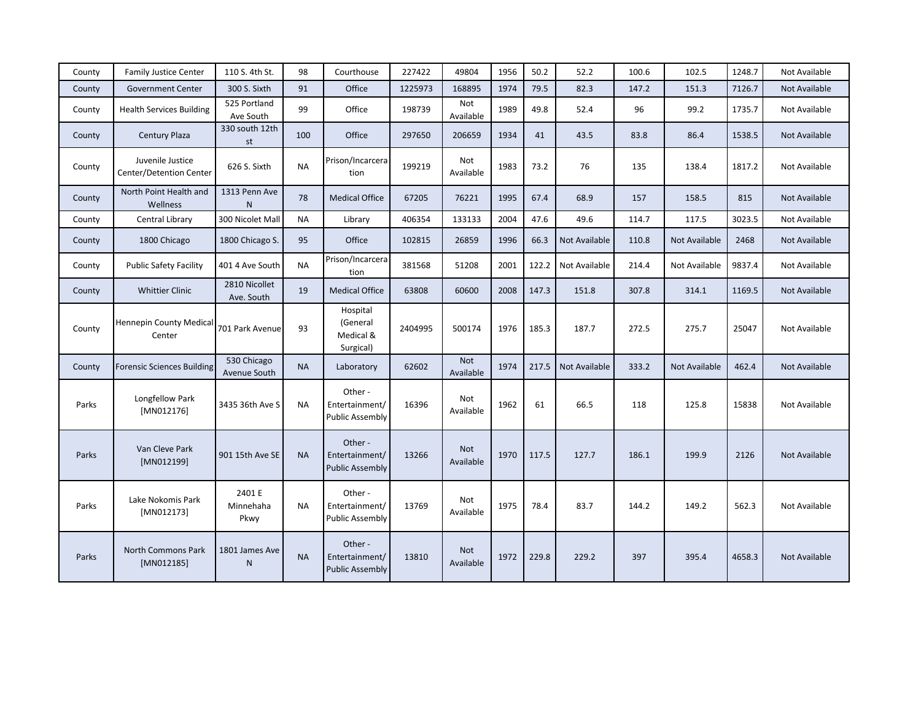| County       | <b>Family Justice Center</b>                | 110 S. 4th St.              | 98        | Courthouse                                          | 227422  | 49804                   | 1956 | 50.2  | 52.2          | 100.6 | 102.5         | 1248.7 | Not Available |
|--------------|---------------------------------------------|-----------------------------|-----------|-----------------------------------------------------|---------|-------------------------|------|-------|---------------|-------|---------------|--------|---------------|
| County       | <b>Government Center</b>                    | 300 S. Sixth                | 91        | Office                                              | 1225973 | 168895                  | 1974 | 79.5  | 82.3          | 147.2 | 151.3         | 7126.7 | Not Available |
| County       | <b>Health Services Building</b>             | 525 Portland<br>Ave South   | 99        | Office                                              | 198739  | Not<br>Available        | 1989 | 49.8  | 52.4          | 96    | 99.2          | 1735.7 | Not Available |
| County       | Century Plaza                               | 330 south 12th<br>st        | 100       | Office                                              | 297650  | 206659                  | 1934 | 41    | 43.5          | 83.8  | 86.4          | 1538.5 | Not Available |
| County       | Juvenile Justice<br>Center/Detention Center | 626 S. Sixth                | <b>NA</b> | Prison/Incarcera<br>tion                            | 199219  | Not<br>Available        | 1983 | 73.2  | 76            | 135   | 138.4         | 1817.2 | Not Available |
| County       | North Point Health and<br>Wellness          | 1313 Penn Ave<br>N          | 78        | <b>Medical Office</b>                               | 67205   | 76221                   | 1995 | 67.4  | 68.9          | 157   | 158.5         | 815    | Not Available |
| County       | Central Library                             | 300 Nicolet Mall            | <b>NA</b> | Library                                             | 406354  | 133133                  | 2004 | 47.6  | 49.6          | 114.7 | 117.5         | 3023.5 | Not Available |
| County       | 1800 Chicago                                | 1800 Chicago S.             | 95        | Office                                              | 102815  | 26859                   | 1996 | 66.3  | Not Available | 110.8 | Not Available | 2468   | Not Available |
| County       | <b>Public Safety Facility</b>               | 401 4 Ave South             | <b>NA</b> | Prison/Incarcera<br>tion                            | 381568  | 51208                   | 2001 | 122.2 | Not Available | 214.4 | Not Available | 9837.4 | Not Available |
| County       | <b>Whittier Clinic</b>                      | 2810 Nicollet<br>Ave. South | 19        | <b>Medical Office</b>                               | 63808   | 60600                   | 2008 | 147.3 | 151.8         | 307.8 | 314.1         | 1169.5 | Not Available |
| County       | Hennepin County Medical<br>Center           | 701 Park Avenue             | 93        | Hospital<br>(General<br>Medical &<br>Surgical)      | 2404995 | 500174                  | 1976 | 185.3 | 187.7         | 272.5 | 275.7         | 25047  | Not Available |
| County       | Forensic Sciences Building                  | 530 Chicago<br>Avenue South | <b>NA</b> | Laboratory                                          | 62602   | Not<br>Available        | 1974 | 217.5 | Not Available | 333.2 | Not Available | 462.4  | Not Available |
| Parks        | Longfellow Park<br>[MN012176]               | 3435 36th Ave S             | <b>NA</b> | Other -<br>Entertainment/<br><b>Public Assembly</b> | 16396   | Not<br>Available        | 1962 | 61    | 66.5          | 118   | 125.8         | 15838  | Not Available |
| <b>Parks</b> | Van Cleve Park<br>[MN012199]                | 901 15th Ave SE             | <b>NA</b> | Other -<br>Entertainment/<br><b>Public Assembly</b> | 13266   | <b>Not</b><br>Available | 1970 | 117.5 | 127.7         | 186.1 | 199.9         | 2126   | Not Available |
| Parks        | Lake Nokomis Park<br>[MN012173]             | 2401 E<br>Minnehaha<br>Pkwy | <b>NA</b> | Other -<br>Entertainment/<br><b>Public Assembly</b> | 13769   | Not<br>Available        | 1975 | 78.4  | 83.7          | 144.2 | 149.2         | 562.3  | Not Available |
| Parks        | <b>North Commons Park</b><br>[MN012185]     | 1801 James Ave<br>N         | <b>NA</b> | Other -<br>Entertainment/<br><b>Public Assembly</b> | 13810   | Not<br>Available        | 1972 | 229.8 | 229.2         | 397   | 395.4         | 4658.3 | Not Available |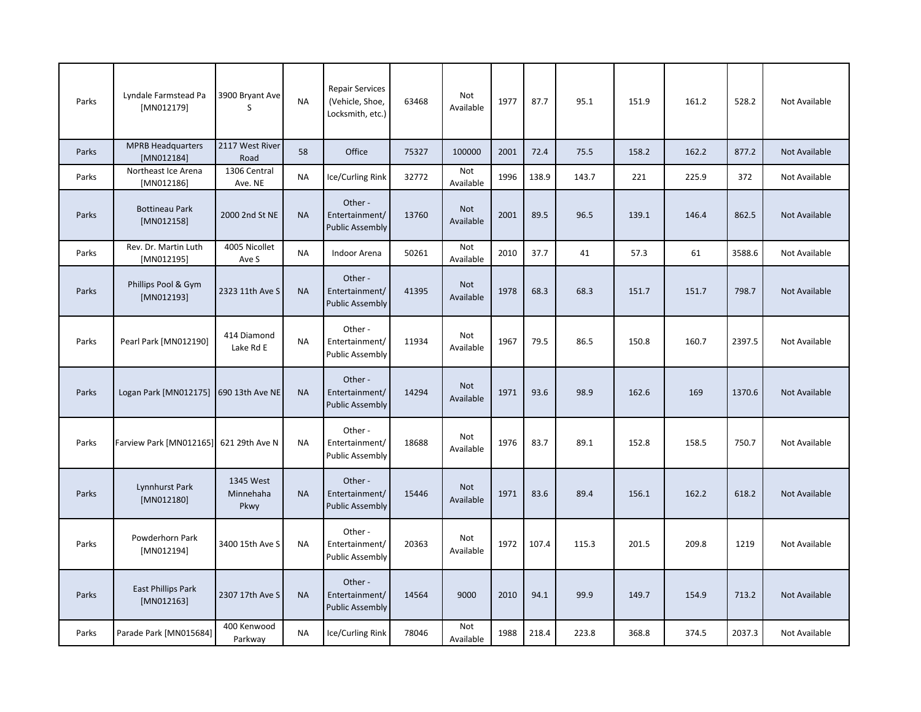| Parks | Lyndale Farmstead Pa<br>[MN012179]        | 3900 Bryant Ave<br>S           | <b>NA</b> | <b>Repair Services</b><br>(Vehicle, Shoe,<br>Locksmith, etc.) | 63468 | Not<br>Available        | 1977 | 87.7  | 95.1  | 151.9 | 161.2 | 528.2  | Not Available |
|-------|-------------------------------------------|--------------------------------|-----------|---------------------------------------------------------------|-------|-------------------------|------|-------|-------|-------|-------|--------|---------------|
| Parks | <b>MPRB Headquarters</b><br>[MN012184]    | 2117 West River<br>Road        | 58        | Office                                                        | 75327 | 100000                  | 2001 | 72.4  | 75.5  | 158.2 | 162.2 | 877.2  | Not Available |
| Parks | Northeast Ice Arena<br>[MN012186]         | 1306 Central<br>Ave. NE        | <b>NA</b> | Ice/Curling Rink                                              | 32772 | Not<br>Available        | 1996 | 138.9 | 143.7 | 221   | 225.9 | 372    | Not Available |
| Parks | <b>Bottineau Park</b><br>[MN012158]       | 2000 2nd St NE                 | <b>NA</b> | Other-<br>Entertainment/<br><b>Public Assembly</b>            | 13760 | <b>Not</b><br>Available | 2001 | 89.5  | 96.5  | 139.1 | 146.4 | 862.5  | Not Available |
| Parks | Rev. Dr. Martin Luth<br>[MN012195]        | 4005 Nicollet<br>Ave S         | <b>NA</b> | Indoor Arena                                                  | 50261 | Not<br>Available        | 2010 | 37.7  | 41    | 57.3  | 61    | 3588.6 | Not Available |
| Parks | Phillips Pool & Gym<br>[MN012193]         | 2323 11th Ave S                | <b>NA</b> | Other -<br>Entertainment/<br><b>Public Assembly</b>           | 41395 | <b>Not</b><br>Available | 1978 | 68.3  | 68.3  | 151.7 | 151.7 | 798.7  | Not Available |
| Parks | Pearl Park [MN012190]                     | 414 Diamond<br>Lake Rd E       | <b>NA</b> | Other -<br>Entertainment/<br><b>Public Assembly</b>           | 11934 | Not<br>Available        | 1967 | 79.5  | 86.5  | 150.8 | 160.7 | 2397.5 | Not Available |
| Parks | Logan Park [MN012175]                     | 690 13th Ave NE                | <b>NA</b> | Other -<br>Entertainment/<br><b>Public Assembly</b>           | 14294 | Not<br>Available        | 1971 | 93.6  | 98.9  | 162.6 | 169   | 1370.6 | Not Available |
| Parks | Farview Park [MN012165]                   | 621 29th Ave N                 | <b>NA</b> | Other -<br>Entertainment/<br><b>Public Assembly</b>           | 18688 | Not<br>Available        | 1976 | 83.7  | 89.1  | 152.8 | 158.5 | 750.7  | Not Available |
| Parks | Lynnhurst Park<br>[MN012180]              | 1345 West<br>Minnehaha<br>Pkwy | <b>NA</b> | Other -<br>Entertainment/<br><b>Public Assembly</b>           | 15446 | Not<br>Available        | 1971 | 83.6  | 89.4  | 156.1 | 162.2 | 618.2  | Not Available |
| Parks | Powderhorn Park<br>[MN012194]             | 3400 15th Ave S                | <b>NA</b> | Other -<br>Entertainment/<br><b>Public Assembly</b>           | 20363 | Not<br>Available        | 1972 | 107.4 | 115.3 | 201.5 | 209.8 | 1219   | Not Available |
| Parks | <b>East Phillips Park</b><br>$[MN012163]$ | 2307 17th Ave S                | <b>NA</b> | Other -<br>Entertainment/<br><b>Public Assembly</b>           | 14564 | 9000                    | 2010 | 94.1  | 99.9  | 149.7 | 154.9 | 713.2  | Not Available |
| Parks | Parade Park [MN015684]                    | 400 Kenwood<br>Parkway         | <b>NA</b> | Ice/Curling Rink                                              | 78046 | Not<br>Available        | 1988 | 218.4 | 223.8 | 368.8 | 374.5 | 2037.3 | Not Available |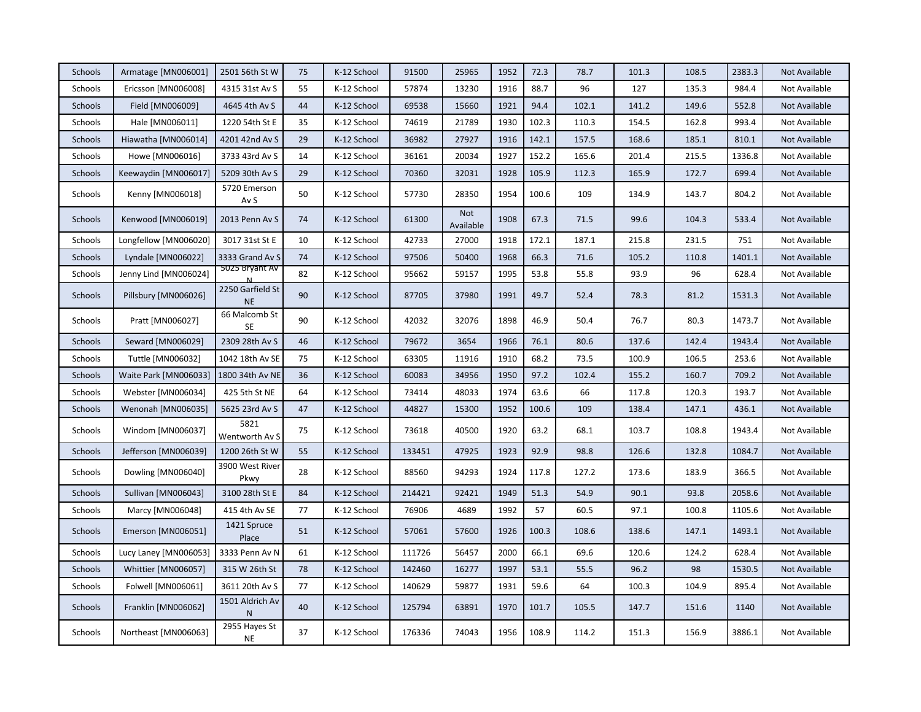| Schools        | Armatage [MN006001]   | 2501 56th St W                | 75 | K-12 School | 91500  | 25965            | 1952 | 72.3  | 78.7  | 101.3 | 108.5 | 2383.3 | Not Available |
|----------------|-----------------------|-------------------------------|----|-------------|--------|------------------|------|-------|-------|-------|-------|--------|---------------|
| Schools        | Ericsson [MN006008]   | 4315 31st Av S                | 55 | K-12 School | 57874  | 13230            | 1916 | 88.7  | 96    | 127   | 135.3 | 984.4  | Not Available |
| Schools        | Field [MN006009]      | 4645 4th Av S                 | 44 | K-12 School | 69538  | 15660            | 1921 | 94.4  | 102.1 | 141.2 | 149.6 | 552.8  | Not Available |
| Schools        | Hale [MN006011]       | 1220 54th St E                | 35 | K-12 School | 74619  | 21789            | 1930 | 102.3 | 110.3 | 154.5 | 162.8 | 993.4  | Not Available |
| Schools        | Hiawatha [MN006014]   | 4201 42nd Av S                | 29 | K-12 School | 36982  | 27927            | 1916 | 142.1 | 157.5 | 168.6 | 185.1 | 810.1  | Not Available |
| Schools        | Howe [MN006016]       | 3733 43rd Av S                | 14 | K-12 School | 36161  | 20034            | 1927 | 152.2 | 165.6 | 201.4 | 215.5 | 1336.8 | Not Available |
| Schools        | Keewaydin [MN006017]  | 5209 30th Av S                | 29 | K-12 School | 70360  | 32031            | 1928 | 105.9 | 112.3 | 165.9 | 172.7 | 699.4  | Not Available |
| Schools        | Kenny [MN006018]      | 5720 Emerson<br>Av S          | 50 | K-12 School | 57730  | 28350            | 1954 | 100.6 | 109   | 134.9 | 143.7 | 804.2  | Not Available |
| Schools        | Kenwood [MN006019]    | 2013 Penn Av S                | 74 | K-12 School | 61300  | Not<br>Available | 1908 | 67.3  | 71.5  | 99.6  | 104.3 | 533.4  | Not Available |
| Schools        | Longfellow [MN006020] | 3017 31st St E                | 10 | K-12 School | 42733  | 27000            | 1918 | 172.1 | 187.1 | 215.8 | 231.5 | 751    | Not Available |
| <b>Schools</b> | Lyndale [MN006022]    | 3333 Grand Av S               | 74 | K-12 School | 97506  | 50400            | 1968 | 66.3  | 71.6  | 105.2 | 110.8 | 1401.1 | Not Available |
| Schools        | Jenny Lind [MN006024] | 5025 Bryant Av                | 82 | K-12 School | 95662  | 59157            | 1995 | 53.8  | 55.8  | 93.9  | 96    | 628.4  | Not Available |
| Schools        | Pillsbury [MN006026]  | 2250 Garfield St<br><b>NE</b> | 90 | K-12 School | 87705  | 37980            | 1991 | 49.7  | 52.4  | 78.3  | 81.2  | 1531.3 | Not Available |
| Schools        | Pratt [MN006027]      | 66 Malcomb St<br><b>SE</b>    | 90 | K-12 School | 42032  | 32076            | 1898 | 46.9  | 50.4  | 76.7  | 80.3  | 1473.7 | Not Available |
| <b>Schools</b> | Seward [MN006029]     | 2309 28th Av S                | 46 | K-12 School | 79672  | 3654             | 1966 | 76.1  | 80.6  | 137.6 | 142.4 | 1943.4 | Not Available |
| Schools        | Tuttle [MN006032]     | 1042 18th Av SE               | 75 | K-12 School | 63305  | 11916            | 1910 | 68.2  | 73.5  | 100.9 | 106.5 | 253.6  | Not Available |
| Schools        | Waite Park [MN006033] | 1800 34th Av NE               | 36 | K-12 School | 60083  | 34956            | 1950 | 97.2  | 102.4 | 155.2 | 160.7 | 709.2  | Not Available |
| Schools        | Webster [MN006034]    | 425 5th St NE                 | 64 | K-12 School | 73414  | 48033            | 1974 | 63.6  | 66    | 117.8 | 120.3 | 193.7  | Not Available |
| <b>Schools</b> | Wenonah [MN006035]    | 5625 23rd Av S                | 47 | K-12 School | 44827  | 15300            | 1952 | 100.6 | 109   | 138.4 | 147.1 | 436.1  | Not Available |
| Schools        | Windom [MN006037]     | 5821<br>Wentworth Av S        | 75 | K-12 School | 73618  | 40500            | 1920 | 63.2  | 68.1  | 103.7 | 108.8 | 1943.4 | Not Available |
| Schools        | Jefferson [MN006039]  | 1200 26th St W                | 55 | K-12 School | 133451 | 47925            | 1923 | 92.9  | 98.8  | 126.6 | 132.8 | 1084.7 | Not Available |
| Schools        | Dowling [MN006040]    | 3900 West River<br>Pkwy       | 28 | K-12 School | 88560  | 94293            | 1924 | 117.8 | 127.2 | 173.6 | 183.9 | 366.5  | Not Available |
| Schools        | Sullivan [MN006043]   | 3100 28th St E                | 84 | K-12 School | 214421 | 92421            | 1949 | 51.3  | 54.9  | 90.1  | 93.8  | 2058.6 | Not Available |
| Schools        | Marcy [MN006048]      | 415 4th Av SE                 | 77 | K-12 School | 76906  | 4689             | 1992 | 57    | 60.5  | 97.1  | 100.8 | 1105.6 | Not Available |
| <b>Schools</b> | Emerson [MN006051]    | 1421 Spruce<br>Place          | 51 | K-12 School | 57061  | 57600            | 1926 | 100.3 | 108.6 | 138.6 | 147.1 | 1493.1 | Not Available |
| Schools        | Lucy Laney [MN006053] | 3333 Penn Av N                | 61 | K-12 School | 111726 | 56457            | 2000 | 66.1  | 69.6  | 120.6 | 124.2 | 628.4  | Not Available |
| Schools        | Whittier [MN006057]   | 315 W 26th St                 | 78 | K-12 School | 142460 | 16277            | 1997 | 53.1  | 55.5  | 96.2  | 98    | 1530.5 | Not Available |
| Schools        | Folwell [MN006061]    | 3611 20th Av S                | 77 | K-12 School | 140629 | 59877            | 1931 | 59.6  | 64    | 100.3 | 104.9 | 895.4  | Not Available |
| Schools        | Franklin [MN006062]   | 1501 Aldrich Av<br>${\sf N}$  | 40 | K-12 School | 125794 | 63891            | 1970 | 101.7 | 105.5 | 147.7 | 151.6 | 1140   | Not Available |
| Schools        | Northeast [MN006063]  | 2955 Hayes St<br><b>NE</b>    | 37 | K-12 School | 176336 | 74043            | 1956 | 108.9 | 114.2 | 151.3 | 156.9 | 3886.1 | Not Available |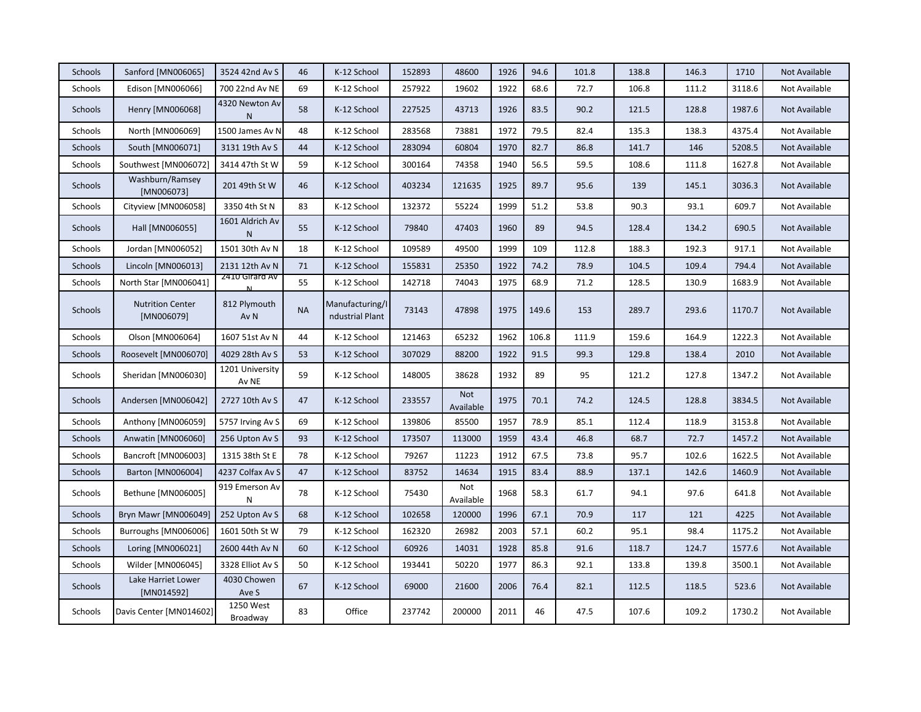| Schools        | Sanford [MN006065]                    | 3524 42nd Av S                  | 46        | K-12 School                        | 152893 | 48600                   | 1926 | 94.6  | 101.8 | 138.8 | 146.3 | 1710   | Not Available |
|----------------|---------------------------------------|---------------------------------|-----------|------------------------------------|--------|-------------------------|------|-------|-------|-------|-------|--------|---------------|
| Schools        | Edison [MN006066]                     | 700 22nd Av NE                  | 69        | K-12 School                        | 257922 | 19602                   | 1922 | 68.6  | 72.7  | 106.8 | 111.2 | 3118.6 | Not Available |
| <b>Schools</b> | Henry [MN006068]                      | 4320 Newton Av<br>N             | 58        | K-12 School                        | 227525 | 43713                   | 1926 | 83.5  | 90.2  | 121.5 | 128.8 | 1987.6 | Not Available |
| Schools        | North [MN006069]                      | 1500 James Av N                 | 48        | K-12 School                        | 283568 | 73881                   | 1972 | 79.5  | 82.4  | 135.3 | 138.3 | 4375.4 | Not Available |
| <b>Schools</b> | South [MN006071]                      | 3131 19th Av S                  | 44        | K-12 School                        | 283094 | 60804                   | 1970 | 82.7  | 86.8  | 141.7 | 146   | 5208.5 | Not Available |
| Schools        | Southwest [MN006072]                  | 3414 47th St W                  | 59        | K-12 School                        | 300164 | 74358                   | 1940 | 56.5  | 59.5  | 108.6 | 111.8 | 1627.8 | Not Available |
| Schools        | Washburn/Ramsey<br>[MN006073]         | 201 49th St W                   | 46        | K-12 School                        | 403234 | 121635                  | 1925 | 89.7  | 95.6  | 139   | 145.1 | 3036.3 | Not Available |
| Schools        | Cityview [MN006058]                   | 3350 4th St N                   | 83        | K-12 School                        | 132372 | 55224                   | 1999 | 51.2  | 53.8  | 90.3  | 93.1  | 609.7  | Not Available |
| <b>Schools</b> | Hall [MN006055]                       | 1601 Aldrich Av<br>$\mathsf{N}$ | 55        | K-12 School                        | 79840  | 47403                   | 1960 | 89    | 94.5  | 128.4 | 134.2 | 690.5  | Not Available |
| Schools        | Jordan [MN006052]                     | 1501 30th Av N                  | 18        | K-12 School                        | 109589 | 49500                   | 1999 | 109   | 112.8 | 188.3 | 192.3 | 917.1  | Not Available |
| Schools        | Lincoln [MN006013]                    | 2131 12th Av N                  | 71        | K-12 School                        | 155831 | 25350                   | 1922 | 74.2  | 78.9  | 104.5 | 109.4 | 794.4  | Not Available |
| Schools        | North Star [MN006041]                 | 2410 Girard Av                  | 55        | K-12 School                        | 142718 | 74043                   | 1975 | 68.9  | 71.2  | 128.5 | 130.9 | 1683.9 | Not Available |
| Schools        | <b>Nutrition Center</b><br>[MN006079] | 812 Plymouth<br>Av <sub>N</sub> | <b>NA</b> | Manufacturing/I<br>ndustrial Plant | 73143  | 47898                   | 1975 | 149.6 | 153   | 289.7 | 293.6 | 1170.7 | Not Available |
| Schools        | Olson [MN006064]                      | 1607 51st Av N                  | 44        | K-12 School                        | 121463 | 65232                   | 1962 | 106.8 | 111.9 | 159.6 | 164.9 | 1222.3 | Not Available |
| <b>Schools</b> | Roosevelt [MN006070]                  | 4029 28th Av S                  | 53        | K-12 School                        | 307029 | 88200                   | 1922 | 91.5  | 99.3  | 129.8 | 138.4 | 2010   | Not Available |
| Schools        | Sheridan [MN006030]                   | 1201 University<br>Av NE        | 59        | K-12 School                        | 148005 | 38628                   | 1932 | 89    | 95    | 121.2 | 127.8 | 1347.2 | Not Available |
| Schools        | Andersen [MN006042]                   | 2727 10th Av S                  | 47        | K-12 School                        | 233557 | <b>Not</b><br>Available | 1975 | 70.1  | 74.2  | 124.5 | 128.8 | 3834.5 | Not Available |
| Schools        | Anthony [MN006059]                    | 5757 Irving Av S                | 69        | K-12 School                        | 139806 | 85500                   | 1957 | 78.9  | 85.1  | 112.4 | 118.9 | 3153.8 | Not Available |
| Schools        | Anwatin [MN006060]                    | 256 Upton Av S                  | 93        | K-12 School                        | 173507 | 113000                  | 1959 | 43.4  | 46.8  | 68.7  | 72.7  | 1457.2 | Not Available |
| Schools        | Bancroft [MN006003]                   | 1315 38th St E                  | 78        | K-12 School                        | 79267  | 11223                   | 1912 | 67.5  | 73.8  | 95.7  | 102.6 | 1622.5 | Not Available |
| <b>Schools</b> | Barton [MN006004]                     | 4237 Colfax Av S                | 47        | K-12 School                        | 83752  | 14634                   | 1915 | 83.4  | 88.9  | 137.1 | 142.6 | 1460.9 | Not Available |
| Schools        | Bethune [MN006005]                    | 919 Emerson Av<br>N             | 78        | K-12 School                        | 75430  | Not<br>Available        | 1968 | 58.3  | 61.7  | 94.1  | 97.6  | 641.8  | Not Available |
| Schools        | Bryn Mawr [MN006049]                  | 252 Upton Av S                  | 68        | K-12 School                        | 102658 | 120000                  | 1996 | 67.1  | 70.9  | 117   | 121   | 4225   | Not Available |
| Schools        | Burroughs [MN006006]                  | 1601 50th St W                  | 79        | K-12 School                        | 162320 | 26982                   | 2003 | 57.1  | 60.2  | 95.1  | 98.4  | 1175.2 | Not Available |
| Schools        | Loring [MN006021]                     | 2600 44th Av N                  | 60        | K-12 School                        | 60926  | 14031                   | 1928 | 85.8  | 91.6  | 118.7 | 124.7 | 1577.6 | Not Available |
| Schools        | Wilder [MN006045]                     | 3328 Elliot Av S                | 50        | K-12 School                        | 193441 | 50220                   | 1977 | 86.3  | 92.1  | 133.8 | 139.8 | 3500.1 | Not Available |
| Schools        | Lake Harriet Lower<br>[MN014592]      | 4030 Chowen<br>Ave S            | 67        | K-12 School                        | 69000  | 21600                   | 2006 | 76.4  | 82.1  | 112.5 | 118.5 | 523.6  | Not Available |
| Schools        | Davis Center [MN014602]               | 1250 West<br>Broadway           | 83        | Office                             | 237742 | 200000                  | 2011 | 46    | 47.5  | 107.6 | 109.2 | 1730.2 | Not Available |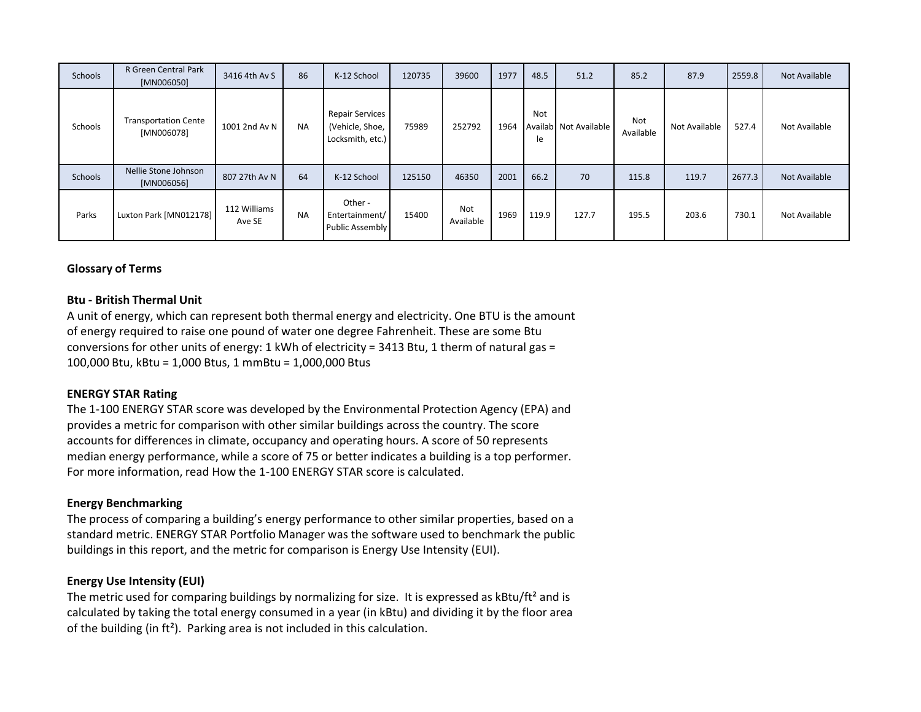| Schools | R Green Central Park<br>[MN006050]        | 3416 4th Av S          | 86        | K-12 School                                                   | 120735 | 39600                   | 1977 | 48.5             | 51.2                  | 85.2             | 87.9          | 2559.8 | Not Available |
|---------|-------------------------------------------|------------------------|-----------|---------------------------------------------------------------|--------|-------------------------|------|------------------|-----------------------|------------------|---------------|--------|---------------|
| Schools | <b>Transportation Cente</b><br>[MN006078] | 1001 2nd Av N          | <b>NA</b> | <b>Repair Services</b><br>(Vehicle, Shoe,<br>Locksmith, etc.) | 75989  | 252792                  | 1964 | <b>Not</b><br>le | Availab Not Available | Not<br>Available | Not Available | 527.4  | Not Available |
| Schools | Nellie Stone Johnson<br>[MN006056]        | 807 27th Av N          | 64        | K-12 School                                                   | 125150 | 46350                   | 2001 | 66.2             | 70                    | 115.8            | 119.7         | 2677.3 | Not Available |
| Parks   | Luxton Park [MN012178]                    | 112 Williams<br>Ave SE | <b>NA</b> | Other -<br>Entertainment/<br>Public Assembly                  | 15400  | <b>Not</b><br>Available | 1969 | 119.9            | 127.7                 | 195.5            | 203.6         | 730.1  | Not Available |

# **Glossary of Terms**

## **Btu - British Thermal Unit**

A unit of energy, which can represent both thermal energy and electricity. One BTU is the amount of energy required to raise one pound of water one degree Fahrenheit. These are some Btu conversions for other units of energy: 1 kWh of electricity =  $3413$  Btu, 1 therm of natural gas = 100,000 Btu, kBtu = 1,000 Btus, 1 mmBtu = 1,000,000 Btus

## **ENERGY STAR Rating**

The 1-100 ENERGY STAR score was developed by the Environmental Protection Agency (EPA) and provides a metric for comparison with other similar buildings across the country. The score accounts for differences in climate, occupancy and operating hours. A score of 50 represents median energy performance, while a score of 75 or better indicates a building is a top performer. For more information, read How the 1-100 ENERGY STAR score is calculated.

#### **Energy Benchmarking**

The process of comparing a building's energy performance to other similar properties, based on a standard metric. ENERGY STAR Portfolio Manager was the software used to benchmark the public buildings in this report, and the metric for comparison is Energy Use Intensity (EUI).

#### **Energy Use Intensity (EUI)**

The metric used for comparing buildings by normalizing for size. It is expressed as kBtu/ft<sup>2</sup> and is calculated by taking the total energy consumed in a year (in kBtu) and dividing it by the floor area of the building (in ft²). Parking area is not included in this calculation.